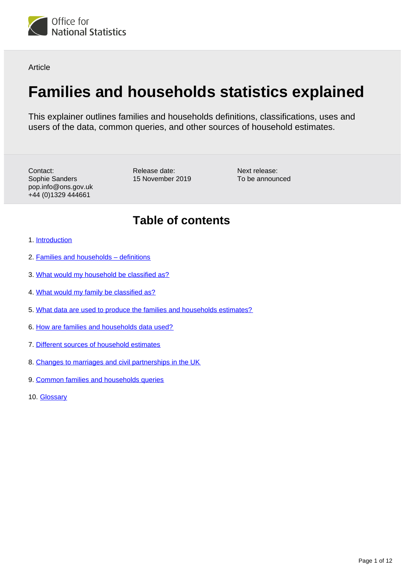

**Article** 

# **Families and households statistics explained**

This explainer outlines families and households definitions, classifications, uses and users of the data, common queries, and other sources of household estimates.

Contact: Sophie Sanders pop.info@ons.gov.uk +44 (0)1329 444661

Release date: 15 November 2019

Next release: To be announced

# **Table of contents**

- 1. [Introduction](#page-1-0)
- 2. [Families and households definitions](#page-1-1)
- 3. [What would my household be classified as?](#page-3-0)
- 4. [What would my family be classified as?](#page-5-0)
- 5. [What data are used to produce the families and households estimates?](#page-6-0)
- 6. [How are families and households data used?](#page-6-1)
- 7. [Different sources of household estimates](#page-6-2)
- 8. [Changes to marriages and civil partnerships in the UK](#page-8-0)
- 9. [Common families and households queries](#page-8-1)
- 10. [Glossary](#page-10-0)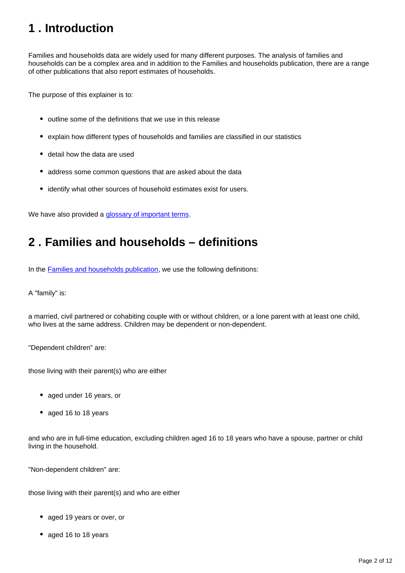# <span id="page-1-0"></span>**1 . Introduction**

Families and households data are widely used for many different purposes. The analysis of families and households can be a complex area and in addition to the Families and households publication, there are a range of other publications that also report estimates of households.

The purpose of this explainer is to:

- outline some of the definitions that we use in this release
- explain how different types of households and families are classified in our statistics
- detail how the data are used
- address some common questions that are asked about the data
- identify what other sources of household estimates exist for users.

We have also provided a **glossary of important terms**.

# <span id="page-1-1"></span>**2 . Families and households – definitions**

In the [Families and households publication,](https://www.ons.gov.uk/peoplepopulationandcommunity/birthsdeathsandmarriages/families/bulletins/familiesandhouseholds/previousReleases) we use the following definitions:

A "family" is:

a married, civil partnered or cohabiting couple with or without children, or a lone parent with at least one child, who lives at the same address. Children may be dependent or non-dependent.

"Dependent children" are:

those living with their parent(s) who are either

- aged under 16 years, or
- aged 16 to 18 years

and who are in full-time education, excluding children aged 16 to 18 years who have a spouse, partner or child living in the household.

"Non-dependent children" are:

those living with their parent(s) and who are either

- aged 19 years or over, or
- aged 16 to 18 years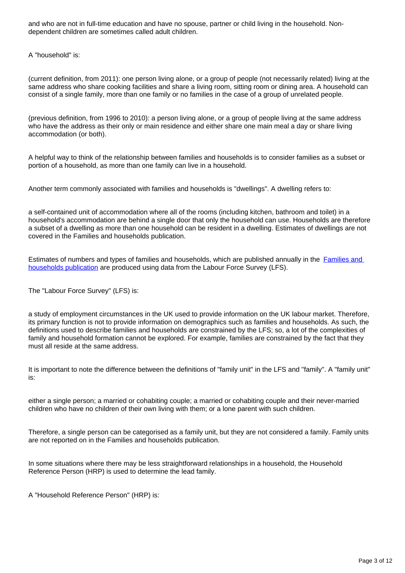and who are not in full-time education and have no spouse, partner or child living in the household. Nondependent children are sometimes called adult children.

A "household" is:

(current definition, from 2011): one person living alone, or a group of people (not necessarily related) living at the same address who share cooking facilities and share a living room, sitting room or dining area. A household can consist of a single family, more than one family or no families in the case of a group of unrelated people.

(previous definition, from 1996 to 2010): a person living alone, or a group of people living at the same address who have the address as their only or main residence and either share one main meal a day or share living accommodation (or both).

A helpful way to think of the relationship between families and households is to consider families as a subset or portion of a household, as more than one family can live in a household.

Another term commonly associated with families and households is "dwellings". A dwelling refers to:

a self-contained unit of accommodation where all of the rooms (including kitchen, bathroom and toilet) in a household's accommodation are behind a single door that only the household can use. Households are therefore a subset of a dwelling as more than one household can be resident in a dwelling. Estimates of dwellings are not covered in the Families and households publication.

Estimates of numbers and types of families and households, which are published annually in the [Families and](https://www.ons.gov.uk/peoplepopulationandcommunity/birthsdeathsandmarriages/families/bulletins/familiesandhouseholds/previousReleases)  [households publication](https://www.ons.gov.uk/peoplepopulationandcommunity/birthsdeathsandmarriages/families/bulletins/familiesandhouseholds/previousReleases) are produced using data from the Labour Force Survey (LFS).

The "Labour Force Survey" (LFS) is:

a study of employment circumstances in the UK used to provide information on the UK labour market. Therefore, its primary function is not to provide information on demographics such as families and households. As such, the definitions used to describe families and households are constrained by the LFS; so, a lot of the complexities of family and household formation cannot be explored. For example, families are constrained by the fact that they must all reside at the same address.

It is important to note the difference between the definitions of "family unit" in the LFS and "family". A "family unit" is:

either a single person; a married or cohabiting couple; a married or cohabiting couple and their never-married children who have no children of their own living with them; or a lone parent with such children.

Therefore, a single person can be categorised as a family unit, but they are not considered a family. Family units are not reported on in the Families and households publication.

In some situations where there may be less straightforward relationships in a household, the Household Reference Person (HRP) is used to determine the lead family.

A "Household Reference Person" (HRP) is: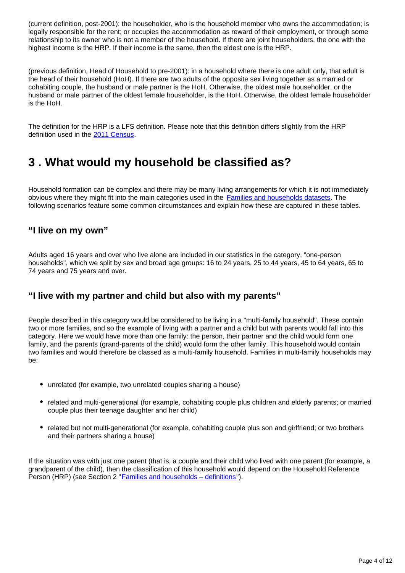(current definition, post-2001): the householder, who is the household member who owns the accommodation; is legally responsible for the rent; or occupies the accommodation as reward of their employment, or through some relationship to its owner who is not a member of the household. If there are joint householders, the one with the highest income is the HRP. If their income is the same, then the eldest one is the HRP.

(previous definition, Head of Household to pre-2001): in a household where there is one adult only, that adult is the head of their household (HoH). If there are two adults of the opposite sex living together as a married or cohabiting couple, the husband or male partner is the HoH. Otherwise, the oldest male householder, or the husband or male partner of the oldest female householder, is the HoH. Otherwise, the oldest female householder is the HoH.

The definition for the HRP is a LFS definition. Please note that this definition differs slightly from the HRP definition used in the [2011 Census](https://www.ons.gov.uk/census/2011census/2011censusdata/2011censususerguide/glossary).

# <span id="page-3-0"></span>**3 . What would my household be classified as?**

Household formation can be complex and there may be many living arrangements for which it is not immediately obvious where they might fit into the main categories used in the [Families and households datasets](https://www.ons.gov.uk/peoplepopulationandcommunity/birthsdeathsandmarriages/families/datasets/familiesandhouseholdsfamiliesandhouseholds). The following scenarios feature some common circumstances and explain how these are captured in these tables.

#### **"I live on my own"**

Adults aged 16 years and over who live alone are included in our statistics in the category, "one-person households", which we split by sex and broad age groups: 16 to 24 years, 25 to 44 years, 45 to 64 years, 65 to 74 years and 75 years and over.

# **"I live with my partner and child but also with my parents"**

People described in this category would be considered to be living in a "multi-family household". These contain two or more families, and so the example of living with a partner and a child but with parents would fall into this category. Here we would have more than one family: the person, their partner and the child would form one family, and the parents (grand-parents of the child) would form the other family. This household would contain two families and would therefore be classed as a multi-family household. Families in multi-family households may be:

- unrelated (for example, two unrelated couples sharing a house)
- related and multi-generational (for example, cohabiting couple plus children and elderly parents; or married couple plus their teenage daughter and her child)
- related but not multi-generational (for example, cohabiting couple plus son and girlfriend; or two brothers and their partners sharing a house)

If the situation was with just one parent (that is, a couple and their child who lived with one parent (for example, a grandparent of the child), then the classification of this household would depend on the Household Reference Person (HRP) (see Section 2 "[Families and households – definitions"](https://www.ons.gov.uk/peoplepopulationandcommunity/birthsdeathsandmarriages/families/articles/familiesandhouseholdsstatisticsexplained/2019-08-07#families-and-households-definitions)).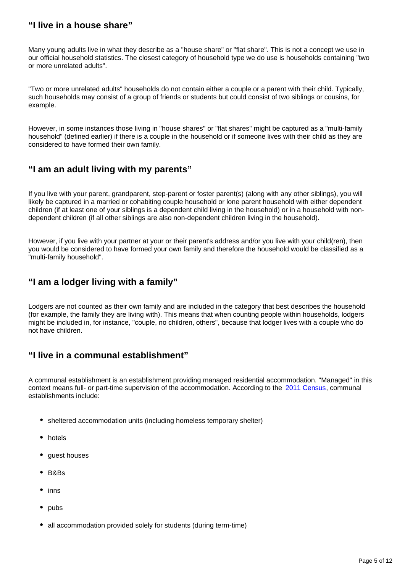# **"I live in a house share"**

Many young adults live in what they describe as a "house share" or "flat share". This is not a concept we use in our official household statistics. The closest category of household type we do use is households containing "two or more unrelated adults".

"Two or more unrelated adults" households do not contain either a couple or a parent with their child. Typically, such households may consist of a group of friends or students but could consist of two siblings or cousins, for example.

However, in some instances those living in "house shares" or "flat shares" might be captured as a "multi-family household" (defined earlier) if there is a couple in the household or if someone lives with their child as they are considered to have formed their own family.

# **"I am an adult living with my parents"**

If you live with your parent, grandparent, step-parent or foster parent(s) (along with any other siblings), you will likely be captured in a married or cohabiting couple household or lone parent household with either dependent children (if at least one of your siblings is a dependent child living in the household) or in a household with nondependent children (if all other siblings are also non-dependent children living in the household).

However, if you live with your partner at your or their parent's address and/or you live with your child(ren), then you would be considered to have formed your own family and therefore the household would be classified as a "multi-family household".

### **"I am a lodger living with a family"**

Lodgers are not counted as their own family and are included in the category that best describes the household (for example, the family they are living with). This means that when counting people within households, lodgers might be included in, for instance, "couple, no children, others", because that lodger lives with a couple who do not have children.

# **"I live in a communal establishment"**

A communal establishment is an establishment providing managed residential accommodation. "Managed" in this context means full- or part-time supervision of the accommodation. According to the [2011 Census,](https://www.ons.gov.uk/census/2011census) communal establishments include:

- sheltered accommodation units (including homeless temporary shelter)
- hotels
- guest houses
- B&Bs
- inns
- pubs
- all accommodation provided solely for students (during term-time)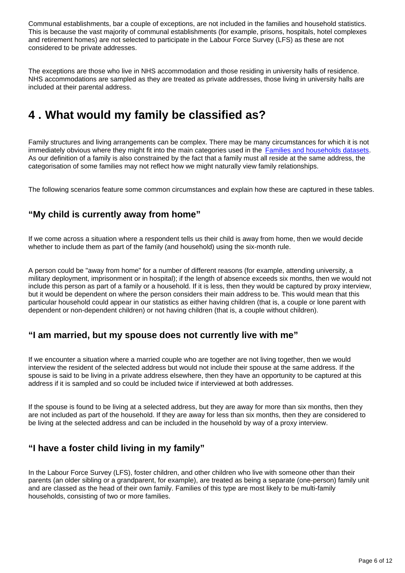Communal establishments, bar a couple of exceptions, are not included in the families and household statistics. This is because the vast majority of communal establishments (for example, prisons, hospitals, hotel complexes and retirement homes) are not selected to participate in the Labour Force Survey (LFS) as these are not considered to be private addresses.

The exceptions are those who live in NHS accommodation and those residing in university halls of residence. NHS accommodations are sampled as they are treated as private addresses, those living in university halls are included at their parental address.

# <span id="page-5-0"></span>**4 . What would my family be classified as?**

Family structures and living arrangements can be complex. There may be many circumstances for which it is not immediately obvious where they might fit into the main categories used in the [Families and households datasets.](https://www.ons.gov.uk/peoplepopulationandcommunity/birthsdeathsandmarriages/families/datasets/familiesandhouseholdsfamiliesandhouseholds) As our definition of a family is also constrained by the fact that a family must all reside at the same address, the categorisation of some families may not reflect how we might naturally view family relationships.

The following scenarios feature some common circumstances and explain how these are captured in these tables.

# **"My child is currently away from home"**

If we come across a situation where a respondent tells us their child is away from home, then we would decide whether to include them as part of the family (and household) using the six-month rule.

A person could be "away from home" for a number of different reasons (for example, attending university, a military deployment, imprisonment or in hospital); if the length of absence exceeds six months, then we would not include this person as part of a family or a household. If it is less, then they would be captured by proxy interview, but it would be dependent on where the person considers their main address to be. This would mean that this particular household could appear in our statistics as either having children (that is, a couple or lone parent with dependent or non-dependent children) or not having children (that is, a couple without children).

#### **"I am married, but my spouse does not currently live with me"**

If we encounter a situation where a married couple who are together are not living together, then we would interview the resident of the selected address but would not include their spouse at the same address. If the spouse is said to be living in a private address elsewhere, then they have an opportunity to be captured at this address if it is sampled and so could be included twice if interviewed at both addresses.

If the spouse is found to be living at a selected address, but they are away for more than six months, then they are not included as part of the household. If they are away for less than six months, then they are considered to be living at the selected address and can be included in the household by way of a proxy interview.

# **"I have a foster child living in my family"**

In the Labour Force Survey (LFS), foster children, and other children who live with someone other than their parents (an older sibling or a grandparent, for example), are treated as being a separate (one-person) family unit and are classed as the head of their own family. Families of this type are most likely to be multi-family households, consisting of two or more families.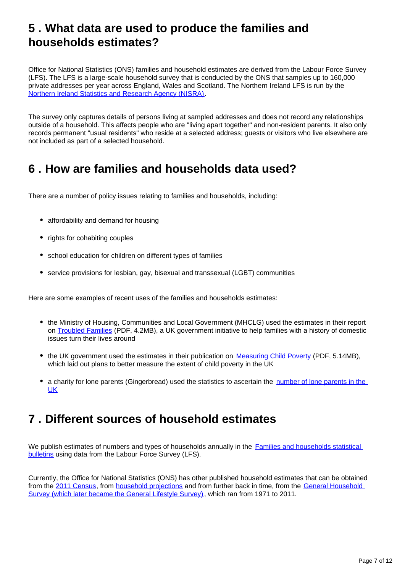# <span id="page-6-0"></span>**5 . What data are used to produce the families and households estimates?**

Office for National Statistics (ONS) families and household estimates are derived from the Labour Force Survey (LFS). The LFS is a large-scale household survey that is conducted by the ONS that samples up to 160,000 private addresses per year across England, Wales and Scotland. The Northern Ireland LFS is run by the [Northern Ireland Statistics and Research Agency \(NISRA\).](https://www.nisra.gov.uk/)

The survey only captures details of persons living at sampled addresses and does not record any relationships outside of a household. This affects people who are "living apart together" and non-resident parents. It also only records permanent "usual residents" who reside at a selected address; guests or visitors who live elsewhere are not included as part of a selected household.

# <span id="page-6-1"></span>**6 . How are families and households data used?**

There are a number of policy issues relating to families and households, including:

- affordability and demand for housing
- rights for cohabiting couples
- school education for children on different types of families
- service provisions for lesbian, gay, bisexual and transsexual (LGBT) communities

Here are some examples of recent uses of the families and households estimates:

- the Ministry of Housing, Communities and Local Government (MHCLG) used the estimates in their report on [Troubled Families](https://assets.publishing.service.gov.uk/government/uploads/system/uploads/attachment_data/file/560505/Troubled_Families_Evaluation_Family_Monitoring_Data.pdf) (PDF, 4.2MB), a UK government initiative to help families with a history of domestic issues turn their lives around
- the UK government used the estimates in their publication on [Measuring Child Poverty](https://assets.publishing.service.gov.uk/government/uploads/system/uploads/attachment_data/file/228829/8483.pdf) (PDF, 5.14MB), which laid out plans to better measure the extent of child poverty in the UK
- a charity for lone parents (Gingerbread) used the statistics to ascertain the number of lone parents in the [UK](https://www.gingerbread.org.uk/what-we-do/media-centre/single-parents-facts-figures/)

# <span id="page-6-2"></span>**7 . Different sources of household estimates**

We publish estimates of numbers and types of households annually in the Families and households statistical [bulletins](https://www.ons.gov.uk/peoplepopulationandcommunity/birthsdeathsandmarriages/families/bulletins/familiesandhouseholds/previousReleases) using data from the Labour Force Survey (LFS).

Currently, the Office for National Statistics (ONS) has other published household estimates that can be obtained from the [2011 Census,](https://www.nomisweb.co.uk/census/2011/ks101ew) from [household projections](https://www.ons.gov.uk/peoplepopulationandcommunity/populationandmigration/populationprojections/bulletins/2016basedhouseholdprojectionsinengland/previousReleases) and from further back in time, from the General Household [Survey \(which later became the General Lifestyle Survey\)](https://www.ons.gov.uk/peoplepopulationandcommunity/personalandhouseholdfinances/incomeandwealth/compendium/generallifestylesurvey/2013-03-07/generallifestylesurvey2011referencetables), which ran from 1971 to 2011.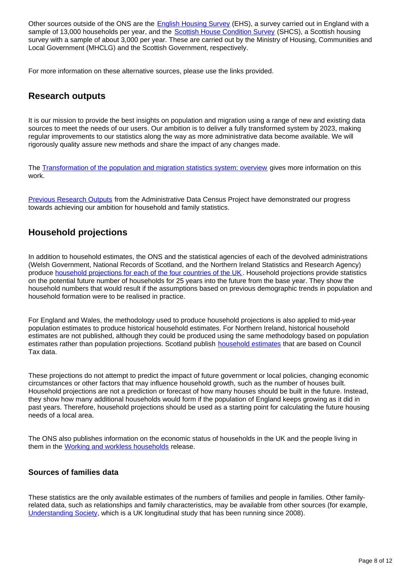Other sources outside of the ONS are the [English Housing Survey](https://www.gov.uk/government/collections/english-housing-survey) (EHS), a survey carried out in England with a sample of 13,000 households per year, and the [Scottish House Condition Survey](https://www2.gov.scot/Topics/Statistics/SHCS) (SHCS), a Scottish housing survey with a sample of about 3,000 per year. These are carried out by the Ministry of Housing, Communities and Local Government (MHCLG) and the Scottish Government, respectively.

For more information on these alternative sources, please use the links provided.

### **Research outputs**

It is our mission to provide the best insights on population and migration using a range of new and existing data sources to meet the needs of our users. Our ambition is to deliver a fully transformed system by 2023, making regular improvements to our statistics along the way as more administrative data become available. We will rigorously quality assure new methods and share the impact of any changes made.

The [Transformation of the population and migration statistics system: overview](https://www.ons.gov.uk/peoplepopulationandcommunity/populationandmigration/internationalmigration/articles/transformationofthepopulationandmigrationstatisticssystemoverview/2019-06-21) gives more information on this work.

[Previous Research Outputs](https://www.ons.gov.uk/census/censustransformationprogramme/administrativedatacensusproject/administrativedatacensusresearchoutputs/householdsandfamilies) from the Administrative Data Census Project have demonstrated our progress towards achieving our ambition for household and family statistics.

# **Household projections**

In addition to household estimates, the ONS and the statistical agencies of each of the devolved administrations (Welsh Government, National Records of Scotland, and the Northern Ireland Statistics and Research Agency) produce [household projections for each of the four countries of the UK.](https://www.ons.gov.uk/peoplepopulationandcommunity/populationandmigration/populationprojections/bulletins/2016basedhouseholdprojectionsinengland/2016basedhouseholdprojectionsinengland) Household projections provide statistics on the potential future number of households for 25 years into the future from the base year. They show the household numbers that would result if the assumptions based on previous demographic trends in population and household formation were to be realised in practice.

For England and Wales, the methodology used to produce household projections is also applied to mid-year population estimates to produce historical household estimates. For Northern Ireland, historical household estimates are not published, although they could be produced using the same methodology based on population estimates rather than population projections. Scotland publish [household estimates](https://www.nrscotland.gov.uk/statistics-and-data/statistics/statistics-by-theme/households/household-estimates/2018) that are based on Council Tax data.

These projections do not attempt to predict the impact of future government or local policies, changing economic circumstances or other factors that may influence household growth, such as the number of houses built. Household projections are not a prediction or forecast of how many houses should be built in the future. Instead, they show how many additional households would form if the population of England keeps growing as it did in past years. Therefore, household projections should be used as a starting point for calculating the future housing needs of a local area.

The ONS also publishes information on the economic status of households in the UK and the people living in them in the [Working and workless households](https://www.ons.gov.uk/employmentandlabourmarket/peopleinwork/employmentandemployeetypes/bulletins/workingandworklesshouseholds/previousReleases) release.

#### **Sources of families data**

These statistics are the only available estimates of the numbers of families and people in families. Other familyrelated data, such as relationships and family characteristics, may be available from other sources (for example, [Understanding Society](https://www.understandingsociety.ac.uk/research/themes/family-and-households), which is a UK longitudinal study that has been running since 2008).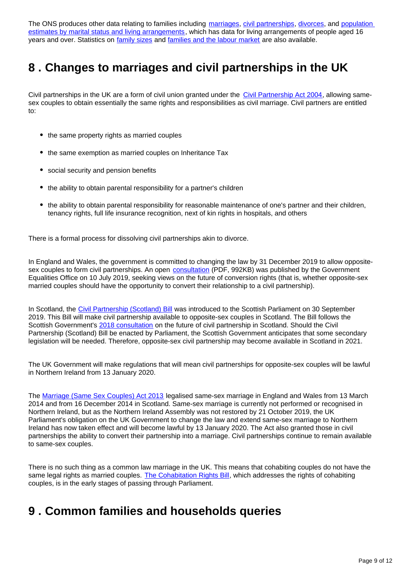The ONS produces other data relating to families including [marriages,](https://www.ons.gov.uk/peoplepopulationandcommunity/birthsdeathsandmarriages/marriagecohabitationandcivilpartnerships/bulletins/marriagesinenglandandwalesprovisional/previousReleases) [civil partnerships,](https://www.ons.gov.uk/peoplepopulationandcommunity/birthsdeathsandmarriages/marriagecohabitationandcivilpartnerships/bulletins/civilpartnershipsinenglandandwales/previousReleases) [divorces](https://www.ons.gov.uk/peoplepopulationandcommunity/birthsdeathsandmarriages/divorce/bulletins/divorcesinenglandandwales/previousReleases), and population [estimates by marital status and living arrangements](https://www.ons.gov.uk/peoplepopulationandcommunity/populationandmigration/populationestimates/bulletins/populationestimatesbymaritalstatusandlivingarrangements/previousReleases), which has data for living arrangements of people aged 16 years and over. Statistics on [family sizes](https://www.ons.gov.uk/peoplepopulationandcommunity/birthsdeathsandmarriages/conceptionandfertilityrates/datasets/childbearingforwomenbornindifferentyearsreferencetable) and [families and the labour market](https://www.ons.gov.uk/employmentandlabourmarket/peopleinwork/employmentandemployeetypes/articles/familiesandthelabourmarketengland/previousReleases) are also available.

# <span id="page-8-0"></span>**8 . Changes to marriages and civil partnerships in the UK**

Civil partnerships in the UK are a form of civil union granted under the [Civil Partnership Act 2004](http://www.legislation.gov.uk/ukpga/2004/33/contents), allowing samesex couples to obtain essentially the same rights and responsibilities as civil marriage. Civil partners are entitled to:

- the same property rights as married couples
- the same exemption as married couples on Inheritance Tax
- social security and pension benefits
- the ability to obtain parental responsibility for a partner's children
- the ability to obtain parental responsibility for reasonable maintenance of one's partner and their children, tenancy rights, full life insurance recognition, next of kin rights in hospitals, and others

There is a formal process for dissolving civil partnerships akin to divorce.

In England and Wales, the government is committed to changing the law by 31 December 2019 to allow oppositesex couples to form civil partnerships. An open [consultation](https://assets.publishing.service.gov.uk/government/uploads/system/uploads/attachment_data/file/815741/Civil_Partnerships_-_Next_Steps_and_Consultation_on_Conversion.pdf) (PDF, 992KB) was published by the Government Equalities Office on 10 July 2019, seeking views on the future of conversion rights (that is, whether opposite-sex married couples should have the opportunity to convert their relationship to a civil partnership).

In Scotland, the [Civil Partnership \(Scotland\) Bill](https://www.parliament.scot/parliamentarybusiness/Bills/112997.aspx) was introduced to the Scottish Parliament on 30 September 2019. This Bill will make civil partnership available to opposite-sex couples in Scotland. The Bill follows the Scottish Government's [2018 consultation](https://consult.gov.scot/family-law/the-future-of-civil-partnership-in-scotland/) on the future of civil partnership in Scotland. Should the Civil Partnership (Scotland) Bill be enacted by Parliament, the Scottish Government anticipates that some secondary legislation will be needed. Therefore, opposite-sex civil partnership may become available in Scotland in 2021.

The UK Government will make regulations that will mean civil partnerships for opposite-sex couples will be lawful in Northern Ireland from 13 January 2020.

The [Marriage \(Same Sex Couples\) Act 2013](http://www.legislation.gov.uk/ukpga/2013/30/contents/enacted) legalised same-sex marriage in England and Wales from 13 March 2014 and from 16 December 2014 in Scotland. Same-sex marriage is currently not performed or recognised in Northern Ireland, but as the Northern Ireland Assembly was not restored by 21 October 2019, the UK Parliament's obligation on the UK Government to change the law and extend same-sex marriage to Northern Ireland has now taken effect and will become lawful by 13 January 2020. The Act also granted those in civil partnerships the ability to convert their partnership into a marriage. Civil partnerships continue to remain available to same-sex couples.

There is no such thing as a common law marriage in the UK. This means that cohabiting couples do not have the same legal rights as married couples. [The Cohabitation Rights Bill](https://services.parliament.uk/bills/2017-19/cohabitationrights.html), which addresses the rights of cohabiting couples, is in the early stages of passing through Parliament.

# <span id="page-8-1"></span>**9 . Common families and households queries**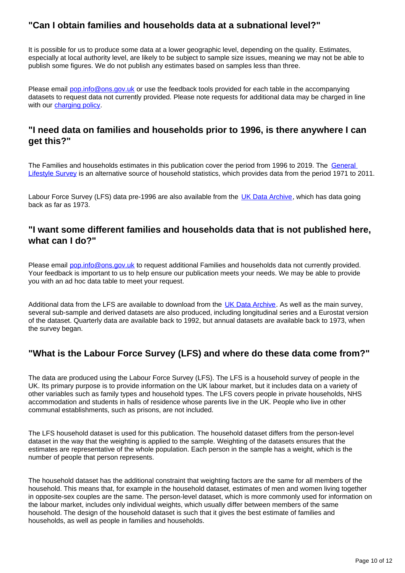# **"Can I obtain families and households data at a subnational level?"**

It is possible for us to produce some data at a lower geographic level, depending on the quality. Estimates, especially at local authority level, are likely to be subject to sample size issues, meaning we may not be able to publish some figures. We do not publish any estimates based on samples less than three.

Please email pop.info@ons.gov.uk or use the feedback tools provided for each table in the accompanying datasets to request data not currently provided. Please note requests for additional data may be charged in line with our [charging policy.](https://www.ons.gov.uk/aboutus/whatwedo/statistics/publicationscheme/chargingrates)

## **"I need data on families and households prior to 1996, is there anywhere I can get this?"**

The Families and households estimates in this publication cover the period from 1996 to 2019. The General [Lifestyle Survey](https://www.ons.gov.uk/peoplepopulationandcommunity/personalandhouseholdfinances/incomeandwealth/compendium/generallifestylesurvey/2013-03-07/generallifestylesurvey2011referencetables) is an alternative source of household statistics, which provides data from the period 1971 to 2011.

Labour Force Survey (LFS) data pre-1996 are also available from the [UK Data Archive](https://beta.ukdataservice.ac.uk/datacatalogue/series/series?id=2000026), which has data going back as far as 1973.

#### **"I want some different families and households data that is not published here, what can I do?"**

Please email pop.info@ons.gov.uk to request additional Families and households data not currently provided. Your feedback is important to us to help ensure our publication meets your needs. We may be able to provide you with an ad hoc data table to meet your request.

Additional data from the LFS are available to download from the [UK Data Archive.](https://beta.ukdataservice.ac.uk/datacatalogue/series/series?id=2000026) As well as the main survey, several sub-sample and derived datasets are also produced, including longitudinal series and a Eurostat version of the dataset. Quarterly data are available back to 1992, but annual datasets are available back to 1973, when the survey began.

# **"What is the Labour Force Survey (LFS) and where do these data come from?"**

The data are produced using the Labour Force Survey (LFS). The LFS is a household survey of people in the UK. Its primary purpose is to provide information on the UK labour market, but it includes data on a variety of other variables such as family types and household types. The LFS covers people in private households, NHS accommodation and students in halls of residence whose parents live in the UK. People who live in other communal establishments, such as prisons, are not included.

The LFS household dataset is used for this publication. The household dataset differs from the person-level dataset in the way that the weighting is applied to the sample. Weighting of the datasets ensures that the estimates are representative of the whole population. Each person in the sample has a weight, which is the number of people that person represents.

The household dataset has the additional constraint that weighting factors are the same for all members of the household. This means that, for example in the household dataset, estimates of men and women living together in opposite-sex couples are the same. The person-level dataset, which is more commonly used for information on the labour market, includes only individual weights, which usually differ between members of the same household. The design of the household dataset is such that it gives the best estimate of families and households, as well as people in families and households.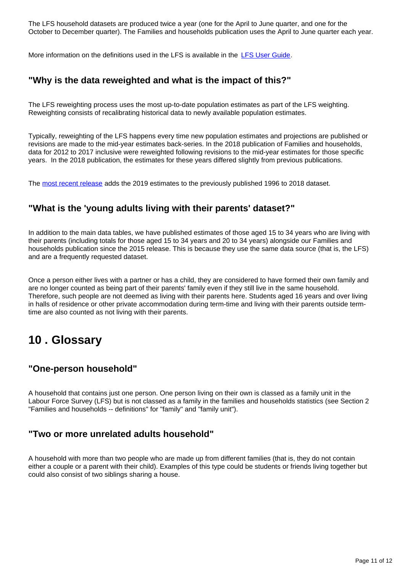The LFS household datasets are produced twice a year (one for the April to June quarter, and one for the October to December quarter). The Families and households publication uses the April to June quarter each year.

More information on the definitions used in the LFS is available in the [LFS User Guide](https://www.ons.gov.uk/employmentandlabourmarket/peopleinwork/employmentandemployeetypes/methodologies/labourforcesurveyuserguidance).

#### **"Why is the data reweighted and what is the impact of this?"**

The LFS reweighting process uses the most up-to-date population estimates as part of the LFS weighting. Reweighting consists of recalibrating historical data to newly available population estimates.

Typically, reweighting of the LFS happens every time new population estimates and projections are published or revisions are made to the mid-year estimates back-series. In the 2018 publication of Families and households, data for 2012 to 2017 inclusive were reweighted following revisions to the mid-year estimates for those specific years. In the 2018 publication, the estimates for these years differed slightly from previous publications.

The [most recent release](https://www.ons.gov.uk/releases/familiesandhouseholdsintheuk2019) adds the 2019 estimates to the previously published 1996 to 2018 dataset.

#### **"What is the 'young adults living with their parents' dataset?"**

In addition to the main data tables, we have published estimates of those aged 15 to 34 years who are living with their parents (including totals for those aged 15 to 34 years and 20 to 34 years) alongside our Families and households publication since the 2015 release. This is because they use the same data source (that is, the LFS) and are a frequently requested dataset.

Once a person either lives with a partner or has a child, they are considered to have formed their own family and are no longer counted as being part of their parents' family even if they still live in the same household. Therefore, such people are not deemed as living with their parents here. Students aged 16 years and over living in halls of residence or other private accommodation during term-time and living with their parents outside termtime are also counted as not living with their parents.

# <span id="page-10-0"></span>**10 . Glossary**

#### **"One-person household"**

A household that contains just one person. One person living on their own is classed as a family unit in the Labour Force Survey (LFS) but is not classed as a family in the families and households statistics (see Section 2 "Families and households -- definitions" for "family" and "family unit").

#### **"Two or more unrelated adults household"**

A household with more than two people who are made up from different families (that is, they do not contain either a couple or a parent with their child). Examples of this type could be students or friends living together but could also consist of two siblings sharing a house.